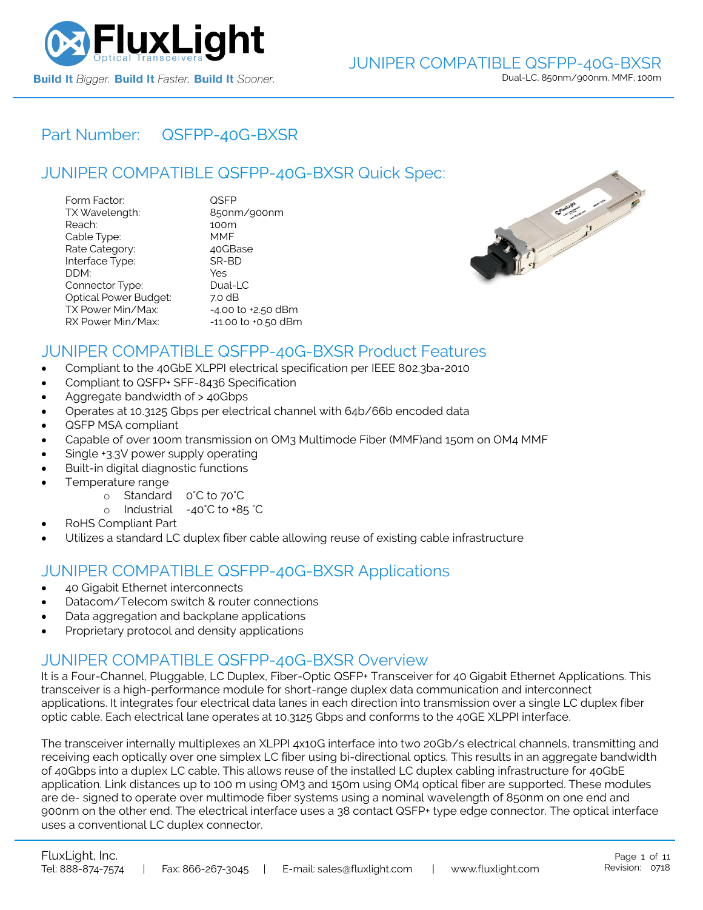

## Part Number: [QSFPP-40G-BXSR](https://www.fluxlight.com/QSFPP-40G-BXSR/)

# JUNIPER COMPATIBLE [QSFPP-40G-BXSR](https://www.fluxlight.com/QSFPP-40G-BXSR/) Quick Spec:

| Form Factor:                 | QSFP                   |
|------------------------------|------------------------|
| TX Wavelength:               | 850nm/900nm            |
| Reach:                       | 100m                   |
| Cable Type:                  | MMF                    |
| Rate Category:               | 40GBase                |
| Interface Type:              | SR-BD                  |
| DDM:                         | Yes                    |
| Connector Type:              | Dual-LC                |
| <b>Optical Power Budget:</b> | 7.0 dB                 |
| TX Power Min/Max:            | $-4.00$ to $+2.50$ dBm |
| RX Power Min/Max:            | -11.00 to +0.50 dBm    |



### JUNIPER COMPATIBLE [QSFPP-40G-BXSR](https://www.fluxlight.com/QSFPP-40G-BXSR/) Product Features

- Compliant to the 40GbE XLPPI electrical specification per IEEE 802.3ba-2010
- Compliant to QSFP+ SFF-8436 Specification
- Aggregate bandwidth of > 40Gbps
- Operates at 10.3125 Gbps per electrical channel with 64b/66b encoded data
- QSFP MSA compliant
- Capable of over 100m transmission on OM3 Multimode Fiber (MMF)and 150m on OM4 MMF
- Single +3.3V power supply operating
- Built-in digital diagnostic functions
- Temperature range
	- o Standard 0°C to 70°C
	- o Industrial -40°C to +85 °C
- RoHS Compliant Part
- Utilizes a standard LC duplex fiber cable allowing reuse of existing cable infrastructure

### JUNIPER COMPATIBLE [QSFPP-40G-BXSR](https://www.fluxlight.com/QSFPP-40G-BXSR/) Applications

- 40 Gigabit Ethernet interconnects
- Datacom/Telecom switch & router connections
- Data aggregation and backplane applications
- Proprietary protocol and density applications

### JUNIPER COMPATIBLE [QSFPP-40G-BXSR](https://www.fluxlight.com/QSFPP-40G-BXSR/) Overview

It is a Four-Channel, Pluggable, LC Duplex, Fiber-Optic QSFP+ Transceiver for 40 Gigabit Ethernet Applications. This transceiver is a high-performance module for short-range duplex data communication and interconnect applications. It integrates four electrical data lanes in each direction into transmission over a single LC duplex fiber optic cable. Each electrical lane operates at 10.3125 Gbps and conforms to the 40GE XLPPI interface.

The transceiver internally multiplexes an XLPPI 4x10G interface into two 20Gb/s electrical channels, transmitting and receiving each optically over one simplex LC fiber using bi-directional optics. This results in an aggregate bandwidth of 40Gbps into a duplex LC cable. This allows reuse of the installed LC duplex cabling infrastructure for 40GbE application. Link distances up to 100 m using OM3 and 150m using OM4 optical fiber are supported. These modules are de- signed to operate over multimode fiber systems using a nominal wavelength of 850nm on one end and 900nm on the other end. The electrical interface uses a 38 contact QSFP+ type edge connector. The optical interface uses a conventional LC duplex connector.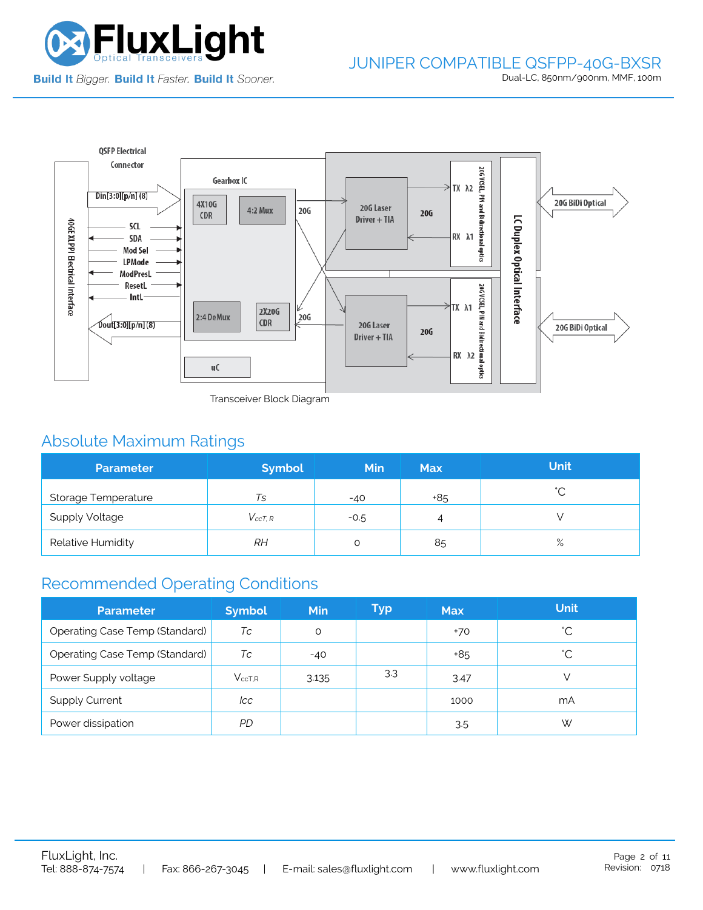

#### JUNIPER COMPATIBLE QSFPP-40G-BXSR Dual-LC, 850nm/900nm, MMF, 100m



Transceiver Block Diagram

# Absolute Maximum Ratings

| <b>Parameter</b>           | <b>Symbol</b>  | <b>Min</b> | <b>Max</b> | <b>Unit</b> |
|----------------------------|----------------|------------|------------|-------------|
| <b>Storage Temperature</b> | Ts             | $-40$      | +85        | $\hat{ }$   |
| <b>Supply Voltage</b>      | $V_{c c T. R}$ | $-0.5$     | 4          |             |
| Relative Humidity          | RH             |            | 85         | $\%$        |

# Recommended Operating Conditions

| <b>Parameter</b>                      | <b>Symbol</b> | Min   | Typ | <b>Max</b> | <b>Unit</b>  |
|---------------------------------------|---------------|-------|-----|------------|--------------|
| <b>Operating Case Temp (Standard)</b> | Тc            | O     |     | $+70$      | °С           |
| <b>Operating Case Temp (Standard)</b> | Тc            | $-40$ |     | +85        | $^{\circ}$ C |
| Power Supply voltage                  | $V_{ccT.R}$   | 3.135 | 3.3 | 3.47       |              |
| <b>Supply Current</b>                 | lcc           |       |     | 1000       | mA           |
| Power dissipation                     | PD.           |       |     | 3.5        | W            |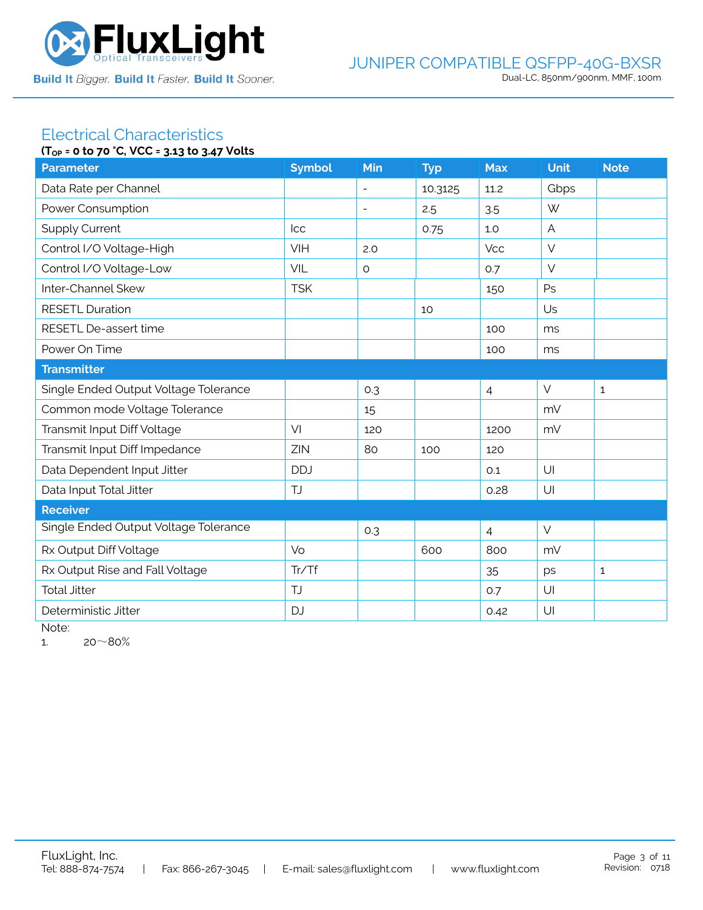

#### Electrical Characteristics **(TOP = 0 to 70 °C, VCC = 3.13 to 3.47 Volts**

| $(1_{OP} = 0.10 / 0.6, 0.06 = 3.13.10.3.4 / 0.0115)$ |               |                          |            |                |             |              |
|------------------------------------------------------|---------------|--------------------------|------------|----------------|-------------|--------------|
| <b>Parameter</b>                                     | <b>Symbol</b> | Min                      | <b>Typ</b> | <b>Max</b>     | <b>Unit</b> | <b>Note</b>  |
| Data Rate per Channel                                |               | $\blacksquare$           | 10.3125    | 11.2           | Gbps        |              |
| Power Consumption                                    |               | $\overline{\phantom{a}}$ | 2.5        | 3.5            | W           |              |
| <b>Supply Current</b>                                | <b>Icc</b>    |                          | 0.75       | 1.0            | A           |              |
| Control I/O Voltage-High                             | VIH           | 2.0                      |            | <b>Vcc</b>     | $\vee$      |              |
| Control I/O Voltage-Low                              | <b>VIL</b>    | $\circ$                  |            | 0.7            | $\vee$      |              |
| Inter-Channel Skew                                   | <b>TSK</b>    |                          |            | 150            | Ps          |              |
| <b>RESETL Duration</b>                               |               |                          | 10         |                | Us          |              |
| RESETL De-assert time                                |               |                          |            | 100            | ms          |              |
| Power On Time                                        |               |                          |            | 100            | ms          |              |
| <b>Transmitter</b>                                   |               |                          |            |                |             |              |
| Single Ended Output Voltage Tolerance                |               | 0.3                      |            | $\overline{4}$ | $\vee$      | $\mathbf{1}$ |
| Common mode Voltage Tolerance                        |               | 15                       |            |                | mV          |              |
| Transmit Input Diff Voltage                          | VI            | 120                      |            | 1200           | mV          |              |
| Transmit Input Diff Impedance                        | ZIN           | 80                       | 100        | 120            |             |              |
| Data Dependent Input Jitter                          | <b>DDJ</b>    |                          |            | 0.1            | U           |              |
| Data Input Total Jitter                              | <b>TJ</b>     |                          |            | 0.28           | U           |              |
| <b>Receiver</b>                                      |               |                          |            |                |             |              |
| Single Ended Output Voltage Tolerance                |               | 0.3                      |            | $\overline{4}$ | $\vee$      |              |
| Rx Output Diff Voltage                               | Vo            |                          | 600        | 800            | mV          |              |
| Rx Output Rise and Fall Voltage                      | Tr/Tf         |                          |            | 35             | ps          | $\mathbf{1}$ |
| <b>Total Jitter</b>                                  | <b>TJ</b>     |                          |            | 0.7            | U           |              |
| Deterministic Jitter                                 | <b>DJ</b>     |                          |            | 0.42           | U           |              |
|                                                      |               |                          |            |                |             |              |

Note:

1.  $20~80%$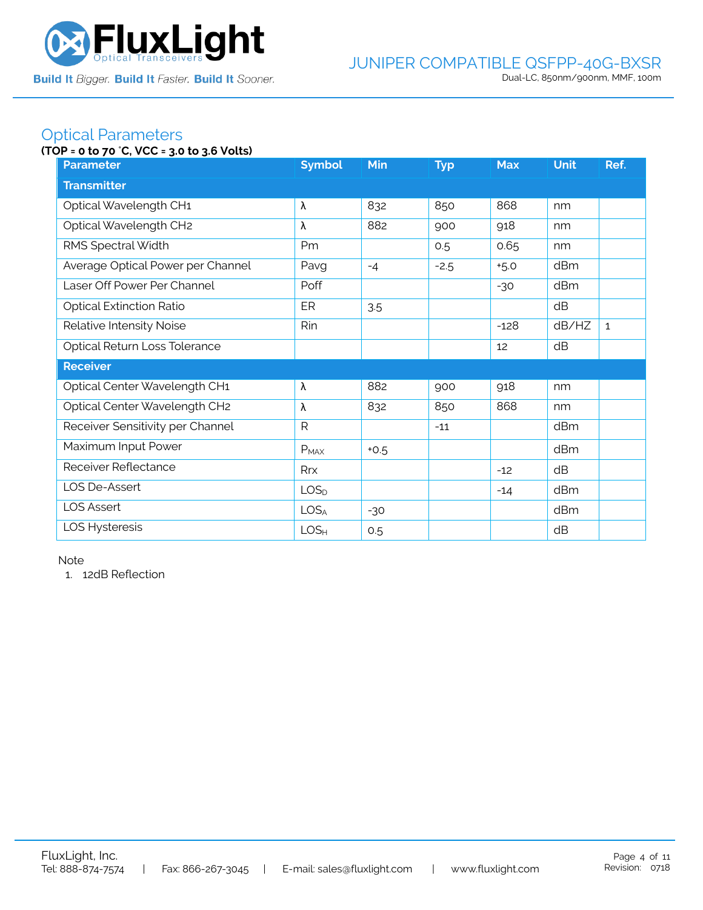

### Optical Parameters

### **(TOP = 0 to 70** °**C, VCC = 3.0 to 3.6 Volts)**

| <b>Parameter</b>                  | <b>Symbol</b>    | Min    | <b>Typ</b> | <b>Max</b> | <b>Unit</b> | Ref.         |
|-----------------------------------|------------------|--------|------------|------------|-------------|--------------|
| <b>Transmitter</b>                |                  |        |            |            |             |              |
| Optical Wavelength CH1            | λ                | 832    | 850        | 868        | nm          |              |
| Optical Wavelength CH2            | λ                | 882    | 900        | 918        | nm          |              |
| RMS Spectral Width                | Pm               |        | 0.5        | 0.65       | nm          |              |
| Average Optical Power per Channel | Pavg             | $-4$   | $-2.5$     | $+5.0$     | dBm         |              |
| Laser Off Power Per Channel       | Poff             |        |            | $-30$      | dBm         |              |
| <b>Optical Extinction Ratio</b>   | ER               | 3.5    |            |            | dB          |              |
| Relative Intensity Noise          | Rin              |        |            | $-128$     | dB/HZ       | $\mathbf{1}$ |
| Optical Return Loss Tolerance     |                  |        |            | 12         | dB          |              |
| <b>Receiver</b>                   |                  |        |            |            |             |              |
| Optical Center Wavelength CH1     | λ                | 882    | 900        | 918        | nm          |              |
| Optical Center Wavelength CH2     | λ                | 832    | 850        | 868        | nm          |              |
| Receiver Sensitivity per Channel  | $\mathsf{R}$     |        | $-11$      |            | dBm         |              |
| Maximum Input Power               | $P_{MAX}$        | $+0.5$ |            |            | dBm         |              |
| Receiver Reflectance              | Rrx              |        |            | $-12$      | dB          |              |
| LOS De-Assert                     | LOS <sub>D</sub> |        |            | $-14$      | dBm         |              |
| <b>LOS Assert</b>                 | LOS <sub>A</sub> | $-30$  |            |            | dBm         |              |
| LOS Hysteresis                    | LOS <sub>H</sub> | 0.5    |            |            | dB          |              |

Note

1. 12dB Reflection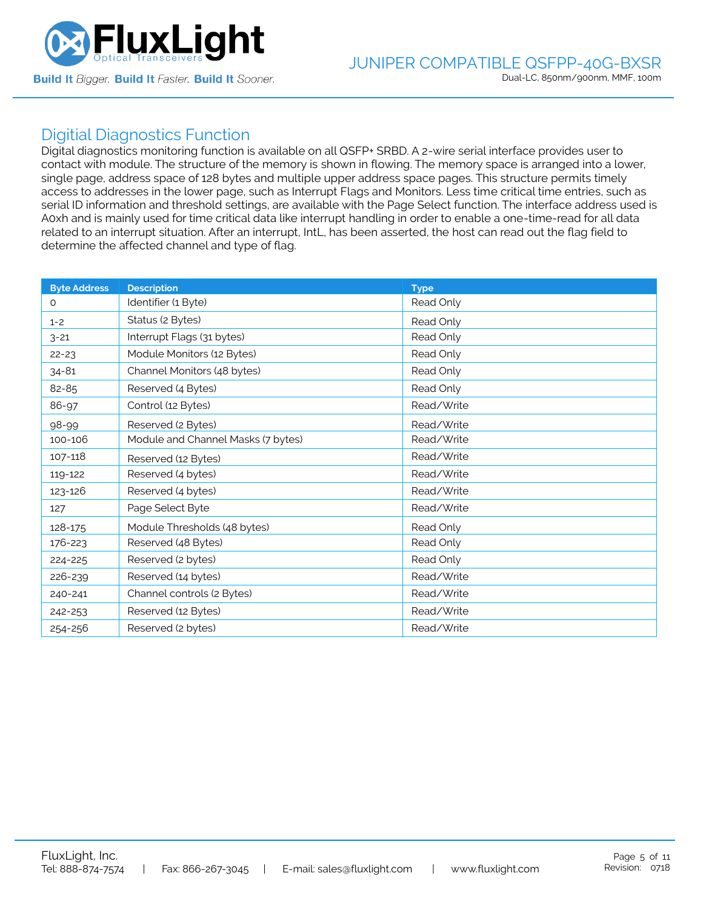

### Digitial Diagnostics Function

Digital diagnostics monitoring function is available on all QSFP+ SRBD. A 2-wire serial interface provides user to contact with module. The structure of the memory is shown in flowing. The memory space is arranged into a lower, single page, address space of 128 bytes and multiple upper address space pages. This structure permits timely access to addresses in the lower page, such as Interrupt Flags and Monitors. Less time critical time entries, such as serial ID information and threshold settings, are available with the Page Select function. The interface address used is A0xh and is mainly used for time critical data like interrupt handling in order to enable a one-time-read for all data related to an interrupt situation. After an interrupt, IntL, has been asserted, the host can read out the flag field to determine the affected channel and type of flag.

| <b>Byte Address</b> | <b>Description</b>                 | <b>Type</b> |
|---------------------|------------------------------------|-------------|
| $\Omega$            | Identifier (1 Byte)                | Read Only   |
| $1 - 2$             | Status (2 Bytes)                   | Read Only   |
| $3 - 21$            | Interrupt Flags (31 bytes)         | Read Only   |
| $22 - 23$           | Module Monitors (12 Bytes)         | Read Only   |
| $34 - 81$           | Channel Monitors (48 bytes)        | Read Only   |
| 82-85               | Reserved (4 Bytes)                 | Read Only   |
| 86-97               | Control (12 Bytes)                 | Read/Write  |
| 98-99               | Reserved (2 Bytes)                 | Read/Write  |
| 100-106             | Module and Channel Masks (7 bytes) | Read/Write  |
| 107-118             | Reserved (12 Bytes)                | Read/Write  |
| 119-122             | Reserved (4 bytes)                 | Read/Write  |
| 123-126             | Reserved (4 bytes)                 | Read/Write  |
| 127                 | Page Select Byte                   | Read/Write  |
| 128-175             | Module Thresholds (48 bytes)       | Read Only   |
| 176-223             | Reserved (48 Bytes)                | Read Only   |
| 224-225             | Reserved (2 bytes)                 | Read Only   |
| 226-239             | Reserved (14 bytes)                | Read/Write  |
| 240-241             | Channel controls (2 Bytes)         | Read/Write  |
| 242-253             | Reserved (12 Bytes)                | Read/Write  |
| 254-256             | Reserved (2 bytes)                 | Read/Write  |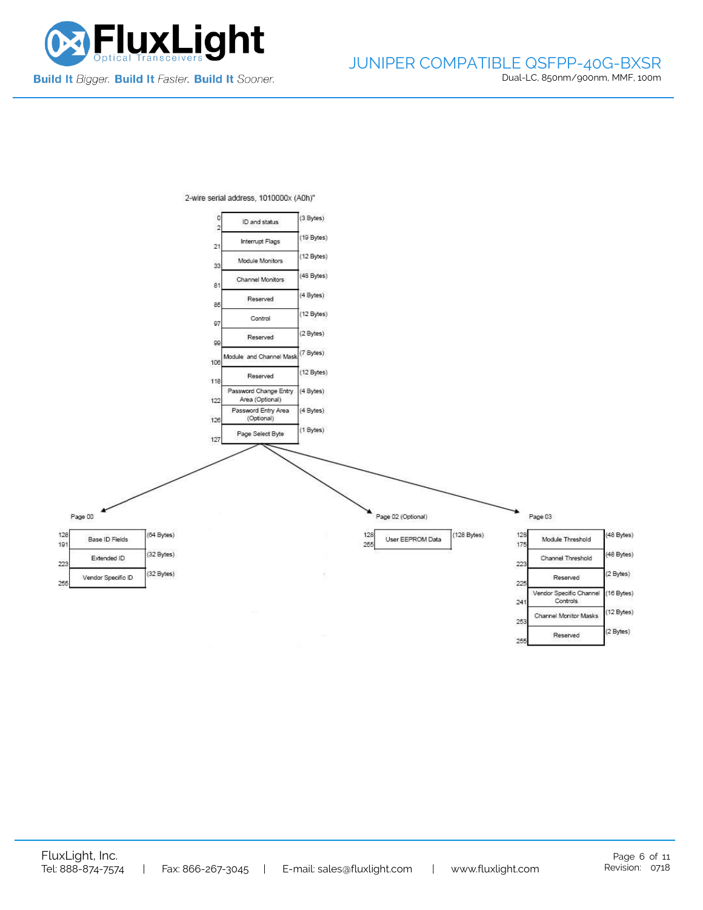

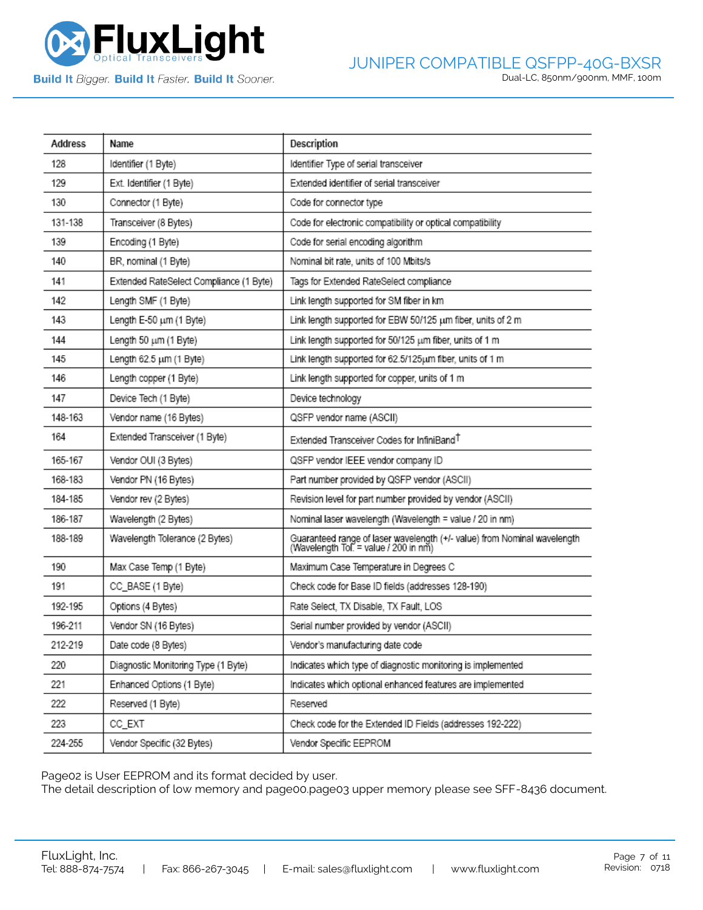

**Build It Bigger. Build It Faster. Build It Sooner.** 

| Address | Name                                    | Description                                                                                                       |
|---------|-----------------------------------------|-------------------------------------------------------------------------------------------------------------------|
| 128     | Identifier (1 Byte)                     | Identifier Type of serial transceiver                                                                             |
| 129     | Ext. Identifier (1 Byte)                | Extended identifier of serial transceiver                                                                         |
| 130     | Connector (1 Byte)                      | Code for connector type                                                                                           |
| 131-138 | Transceiver (8 Bytes)                   | Code for electronic compatibility or optical compatibility                                                        |
| 139     | Encoding (1 Byte)                       | Code for serial encoding algorithm                                                                                |
| 140     | BR, nominal (1 Byte)                    | Nominal bit rate, units of 100 Mbits/s                                                                            |
| 141     | Extended RateSelect Compliance (1 Byte) | Tags for Extended RateSelect compliance                                                                           |
| 142     | Length SMF (1 Byte)                     | Link length supported for SM fiber in km                                                                          |
| 143     | Length E-50 um (1 Byte)                 | Link length supported for EBW 50/125 um fiber, units of 2 m                                                       |
| 144     | Length 50 um (1 Byte)                   | Link length supported for 50/125 um fiber, units of 1 m                                                           |
| 145     | Length 62.5 um (1 Byte)                 | Link length supported for 62.5/125um fiber, units of 1 m                                                          |
| 146     | Length copper (1 Byte)                  | Link length supported for copper, units of 1 m                                                                    |
| 147     | Device Tech (1 Byte)                    | Device technology                                                                                                 |
| 148-163 | Vendor name (16 Bytes)                  | QSFP vendor name (ASCII)                                                                                          |
| 164     | Extended Transceiver (1 Byte)           | Extended Transceiver Codes for InfiniBand <sup>T</sup>                                                            |
| 165-167 | Vendor OUI (3 Bytes)                    | QSFP vendor IEEE vendor company ID                                                                                |
| 168-183 | Vendor PN (16 Bytes)                    | Part number provided by QSFP vendor (ASCII)                                                                       |
| 184-185 | Vendor rev (2 Bytes)                    | Revision level for part number provided by vendor (ASCII)                                                         |
| 186-187 | Wavelength (2 Bytes)                    | Nominal laser wavelength (Wavelength = value / 20 in nm)                                                          |
| 188-189 | Wavelength Tolerance (2 Bytes)          | Guaranteed range of laser wavelength (+/- value) from Nominal wavelength<br>(Wavelength Tol. = value / 200 in nm) |
| 190     | Max Case Temp (1 Byte)                  | Maximum Case Temperature in Degrees C                                                                             |
| 191     | CC_BASE (1 Byte)                        | Check code for Base ID fields (addresses 128-190)                                                                 |
| 192-195 | Options (4 Bytes)                       | Rate Select, TX Disable, TX Fault, LOS                                                                            |
| 196-211 | Vendor SN (16 Bytes)                    | Serial number provided by vendor (ASCII)                                                                          |
| 212-219 | Date code (8 Bytes)                     | Vendor's manufacturing date code                                                                                  |
| 220     | Diagnostic Monitoring Type (1 Byte)     | Indicates which type of diagnostic monitoring is implemented                                                      |
| 221     | Enhanced Options (1 Byte)               | Indicates which optional enhanced features are implemented                                                        |
| 222     | Reserved (1 Byte)                       | Reserved                                                                                                          |
| 223     | CC_EXT                                  | Check code for the Extended ID Fields (addresses 192-222)                                                         |
| 224-255 | Vendor Specific (32 Bytes)              | Vendor Specific EEPROM                                                                                            |

Page02 is User EEPROM and its format decided by user.

The detail description of low memory and page00.page03 upper memory please see SFF-8436 document.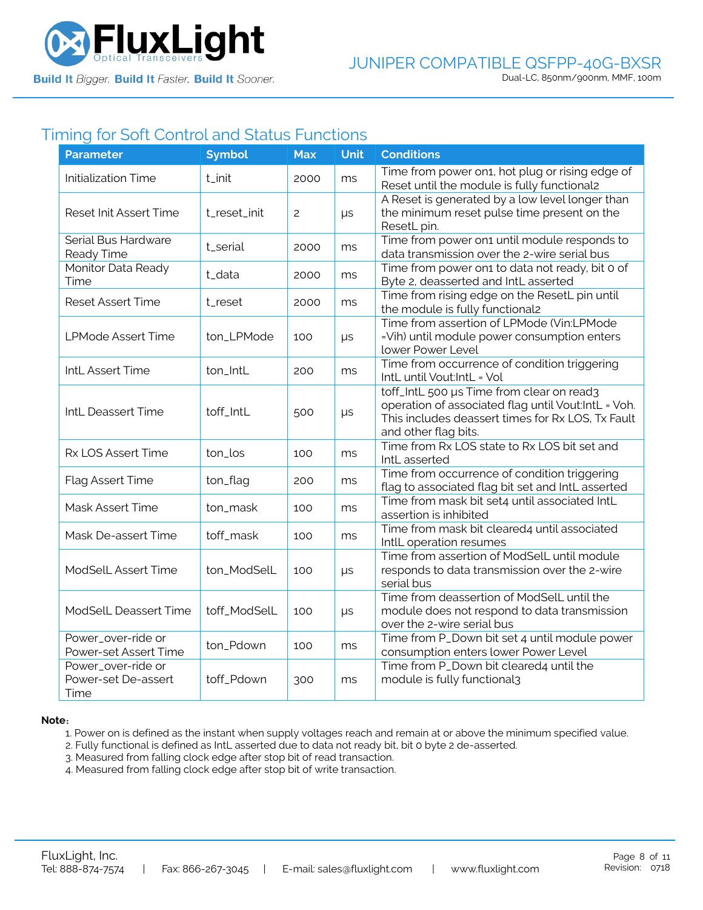

## Timing for Soft Control and Status Functions

| <b>Parameter</b>                                  | <b>Symbol</b> | <b>Max</b>     | <b>Unit</b> | <b>Conditions</b>                                                                                                                                                             |
|---------------------------------------------------|---------------|----------------|-------------|-------------------------------------------------------------------------------------------------------------------------------------------------------------------------------|
| <b>Initialization Time</b>                        | t_init        | 2000           | ms          | Time from power on1, hot plug or rising edge of<br>Reset until the module is fully functional2                                                                                |
| Reset Init Assert Time                            | t_reset_init  | $\overline{c}$ | $\mu s$     | A Reset is generated by a low level longer than<br>the minimum reset pulse time present on the<br>ResetL pin.                                                                 |
| Serial Bus Hardware<br>Ready Time                 | t_serial      | 2000           | ms          | Time from power on1 until module responds to<br>data transmission over the 2-wire serial bus                                                                                  |
| Monitor Data Ready<br>Time                        | t_data        | 2000           | ms          | Time from power on1 to data not ready, bit 0 of<br>Byte 2, deasserted and IntL asserted                                                                                       |
| <b>Reset Assert Time</b>                          | t_reset       | 2000           | ms          | Time from rising edge on the ResetL pin until<br>the module is fully functional2                                                                                              |
| <b>LPMode Assert Time</b>                         | ton_LPMode    | 100            | μs          | Time from assertion of LPMode (Vin:LPMode<br>=Vih) until module power consumption enters<br>lower Power Level                                                                 |
| IntL Assert Time                                  | ton_IntL      | 200            | ms          | Time from occurrence of condition triggering<br>IntL until Vout:IntL = Vol                                                                                                    |
| IntL Deassert Time                                | toff_IntL     | 500            | $\mu s$     | toff_IntL 500 µs Time from clear on read3<br>operation of associated flag until Vout:IntL = Voh.<br>This includes deassert times for Rx LOS, Tx Fault<br>and other flag bits. |
| Rx LOS Assert Time                                | ton_los       | 100            | ms          | Time from Rx LOS state to Rx LOS bit set and<br>IntL asserted                                                                                                                 |
| Flag Assert Time                                  | ton_flag      | 200            | ms          | Time from occurrence of condition triggering<br>flag to associated flag bit set and IntL asserted                                                                             |
| Mask Assert Time                                  | ton_mask      | 100            | ms          | Time from mask bit set4 until associated IntL<br>assertion is inhibited                                                                                                       |
| Mask De-assert Time                               | toff_mask     | 100            | ms          | Time from mask bit cleared4 until associated<br>IntlL operation resumes                                                                                                       |
| ModSelL Assert Time                               | ton_ModSelL   | 100            | $\mu s$     | Time from assertion of ModSelL until module<br>responds to data transmission over the 2-wire<br>serial bus                                                                    |
| ModSelL Deassert Time                             | toff_ModSelL  | 100            | $\mu s$     | Time from deassertion of ModSelL until the<br>module does not respond to data transmission<br>over the 2-wire serial bus                                                      |
| Power_over-ride or<br>Power-set Assert Time       | ton_Pdown     | 100            | ms          | Time from P_Down bit set 4 until module power<br>consumption enters lower Power Level                                                                                         |
| Power_over-ride or<br>Power-set De-assert<br>Time | toff_Pdown    | 300            | ms          | Time from P_Down bit cleared4 until the<br>module is fully functional3                                                                                                        |

#### **Note**:

1. Power on is defined as the instant when supply voltages reach and remain at or above the minimum specified value.

- 2. Fully functional is defined as IntL asserted due to data not ready bit, bit 0 byte 2 de-asserted.
- 3. Measured from falling clock edge after stop bit of read transaction.
- 4. Measured from falling clock edge after stop bit of write transaction.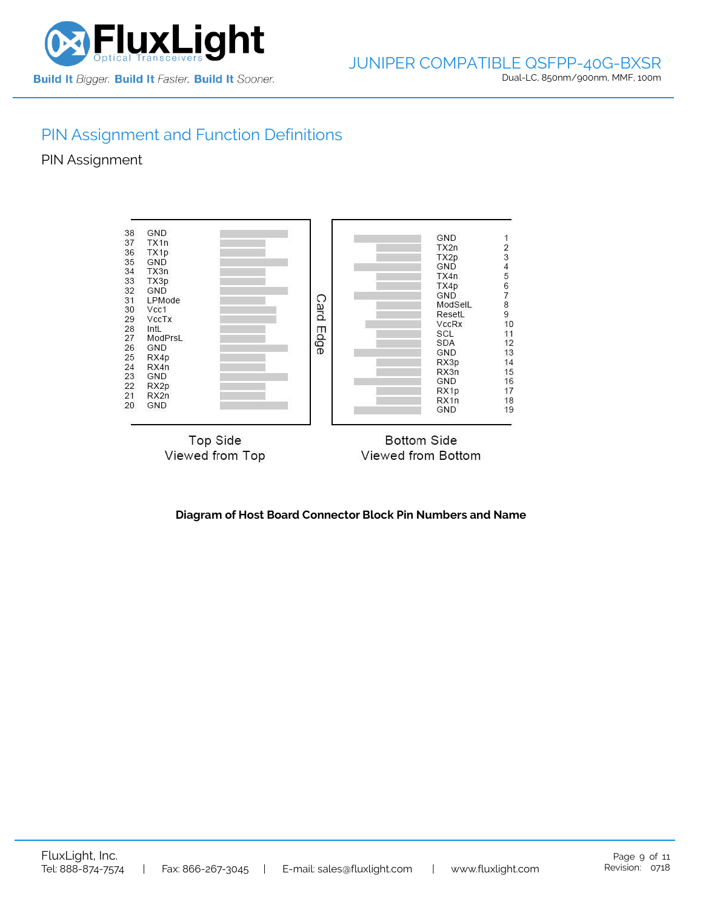

# PIN Assignment and Function Definitions

PIN Assignment



**Diagram of Host Board Connector Block Pin Numbers and Name**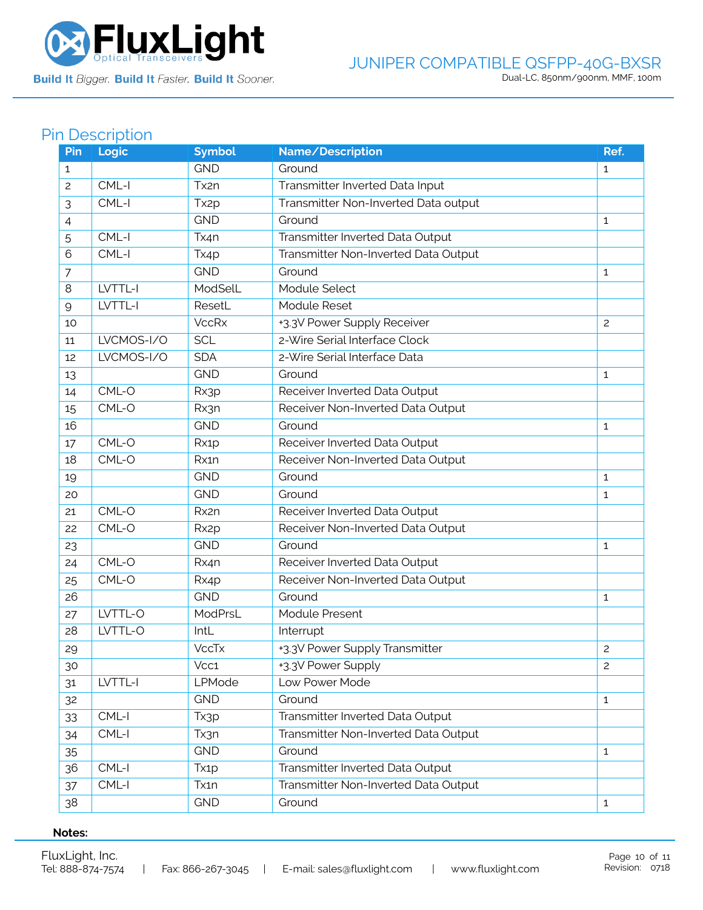

Build It Bigger. Build It Faster. Build It Sooner.

### JUNIPER COMPATIBLE QSFPP-40G-BXSR Dual-LC, 850nm/900nm, MMF, 100m

# Pin Description

| Pin | Logic      | <b>Symbol</b>     | Name/Description                     | Ref.           |
|-----|------------|-------------------|--------------------------------------|----------------|
| 1   |            | <b>GND</b>        | Ground                               | $\mathbf{1}$   |
| 2   | CML-I      | Tx2n              | Transmitter Inverted Data Input      |                |
| 3   | CML-I      | Tx <sub>2p</sub>  | Transmitter Non-Inverted Data output |                |
| 4   |            | <b>GND</b>        | Ground                               | $\mathbf{1}$   |
| 5   | CML-I      | Tx4n              | Transmitter Inverted Data Output     |                |
| 6   | CML-I      | Tx4p              | Transmitter Non-Inverted Data Output |                |
| 7   |            | <b>GND</b>        | Ground                               | $\mathbf{1}$   |
| 8   | LVTTL-I    | ModSelL           | Module Select                        |                |
| 9   | LVTTL-I    | ResetL            | Module Reset                         |                |
| 10  |            | <b>VccRx</b>      | +3.3V Power Supply Receiver          | $\overline{c}$ |
| 11  | LVCMOS-I/O | <b>SCL</b>        | 2-Wire Serial Interface Clock        |                |
| 12  | LVCMOS-I/O | <b>SDA</b>        | 2-Wire Serial Interface Data         |                |
| 13  |            | <b>GND</b>        | Ground                               | 1              |
| 14  | CML-O      | Rx3p              | Receiver Inverted Data Output        |                |
| 15  | CML-O      | Rx3n              | Receiver Non-Inverted Data Output    |                |
| 16  |            | <b>GND</b>        | Ground                               | 1              |
| 17  | CML-O      | Rx1p              | Receiver Inverted Data Output        |                |
| 18  | CML-O      | Rx1n              | Receiver Non-Inverted Data Output    |                |
| 19  |            | <b>GND</b>        | Ground                               | $\mathbf{1}$   |
| 20  |            | <b>GND</b>        | Ground                               | 1              |
| 21  | CML-O      | Rx2n              | Receiver Inverted Data Output        |                |
| 22  | CML-O      | Rx <sub>2</sub> p | Receiver Non-Inverted Data Output    |                |
| 23  |            | <b>GND</b>        | Ground                               | 1              |
| 24  | CML-O      | Rx4n              | Receiver Inverted Data Output        |                |
| 25  | CML-O      | Rx4p              | Receiver Non-Inverted Data Output    |                |
| 26  |            | <b>GND</b>        | Ground                               | 1              |
| 27  | LVTTL-O    | ModPrsL           | Module Present                       |                |
| 28  | LVTTL-O    | IntL              | Interrupt                            |                |
| 29  |            | <b>VccTx</b>      | +3.3V Power Supply Transmitter       | $\mathbf{2}$   |
| 30  |            | Vcc1              | +3.3V Power Supply                   | $\overline{c}$ |
| 31  | LVTTL-I    | LPMode            | Low Power Mode                       |                |
| 32  |            | <b>GND</b>        | Ground                               | $\mathbf{1}$   |
| 33  | CML-I      | Tx3p              | Transmitter Inverted Data Output     |                |
| 34  | CML-I      | Tx3n              | Transmitter Non-Inverted Data Output |                |
| 35  |            | <b>GND</b>        | Ground                               | $\mathbf{1}$   |
| 36  | CML-I      | Tx <sub>1</sub> p | Transmitter Inverted Data Output     |                |
| 37  | $CML-I$    | Tx1n              | Transmitter Non-Inverted Data Output |                |
| 38  |            | <b>GND</b>        | Ground                               | $\mathbf{1}$   |

#### **Notes:**